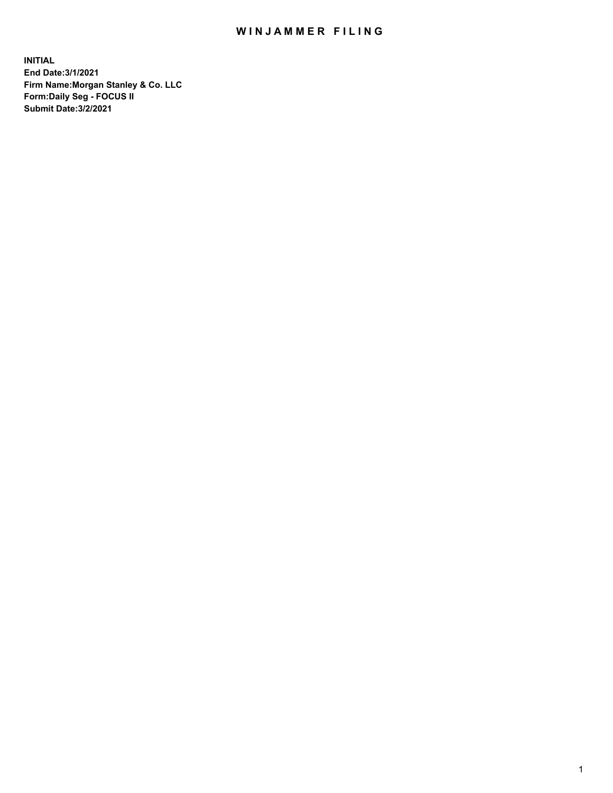## WIN JAMMER FILING

**INITIAL End Date:3/1/2021 Firm Name:Morgan Stanley & Co. LLC Form:Daily Seg - FOCUS II Submit Date:3/2/2021**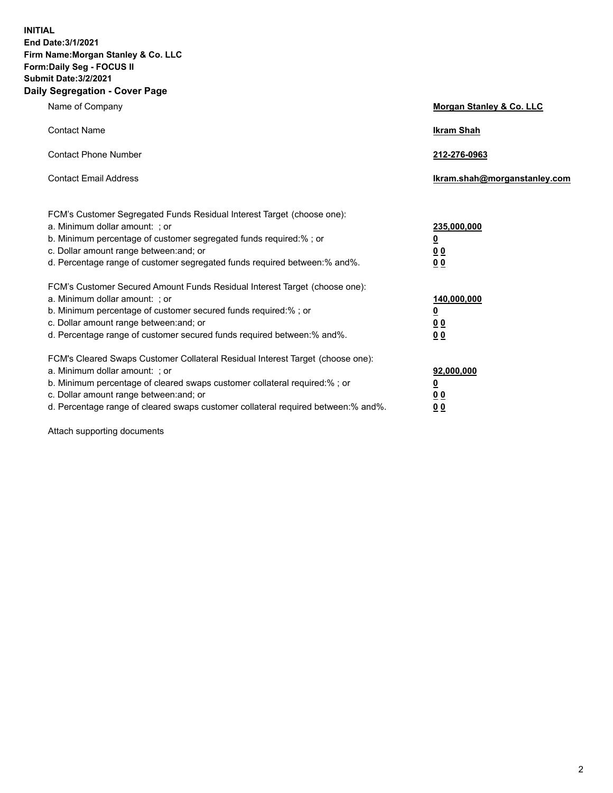**INITIAL End Date:3/1/2021 Firm Name:Morgan Stanley & Co. LLC Form:Daily Seg - FOCUS II Submit Date:3/2/2021 Daily Segregation - Cover Page**

| Name of Company                                                                                                                                                                                                                                                                                                                | Morgan Stanley & Co. LLC                                    |
|--------------------------------------------------------------------------------------------------------------------------------------------------------------------------------------------------------------------------------------------------------------------------------------------------------------------------------|-------------------------------------------------------------|
| <b>Contact Name</b>                                                                                                                                                                                                                                                                                                            | <b>Ikram Shah</b>                                           |
| <b>Contact Phone Number</b>                                                                                                                                                                                                                                                                                                    | 212-276-0963                                                |
| <b>Contact Email Address</b>                                                                                                                                                                                                                                                                                                   | Ikram.shah@morganstanley.com                                |
| FCM's Customer Segregated Funds Residual Interest Target (choose one):<br>a. Minimum dollar amount: ; or<br>b. Minimum percentage of customer segregated funds required:% ; or<br>c. Dollar amount range between: and; or<br>d. Percentage range of customer segregated funds required between:% and%.                         | 235,000,000<br><u>0</u><br>0 Q<br>0 <sub>0</sub>            |
| FCM's Customer Secured Amount Funds Residual Interest Target (choose one):<br>a. Minimum dollar amount: : or<br>b. Minimum percentage of customer secured funds required:%; or<br>c. Dollar amount range between: and; or<br>d. Percentage range of customer secured funds required between:% and%.                            | 140,000,000<br><u>0</u><br>0 <sub>0</sub><br>0 <sub>0</sub> |
| FCM's Cleared Swaps Customer Collateral Residual Interest Target (choose one):<br>a. Minimum dollar amount: ; or<br>b. Minimum percentage of cleared swaps customer collateral required:% ; or<br>c. Dollar amount range between: and; or<br>d. Percentage range of cleared swaps customer collateral required between:% and%. | 92,000,000<br><u>0</u><br>0 Q<br>0 <sub>0</sub>             |

Attach supporting documents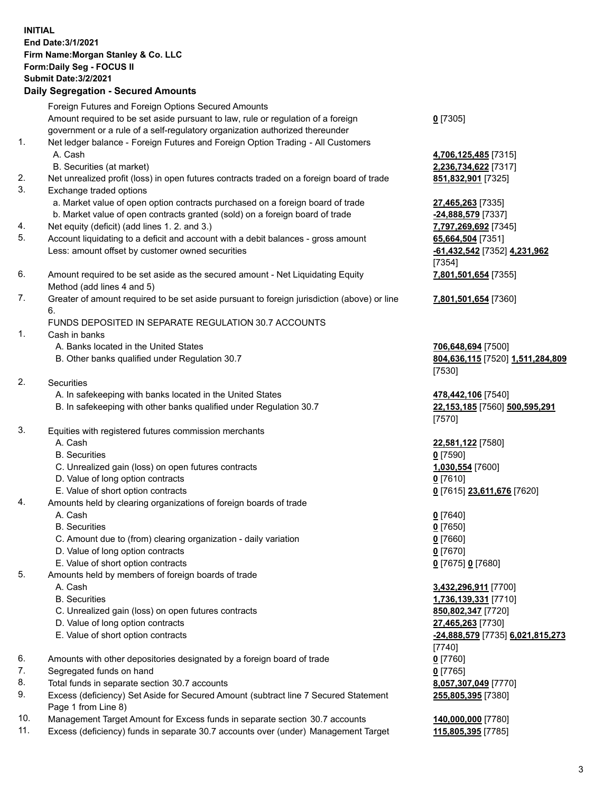## **INITIAL End Date:3/1/2021 Firm Name:Morgan Stanley & Co. LLC Form:Daily Seg - FOCUS II Submit Date:3/2/2021 Daily Segregation - Secured Amounts** Foreign Futures and Foreign Options Secured Amounts Amount required to be set aside pursuant to law, rule or regulation of a foreign government or a rule of a self-regulatory organization authorized thereunder 1. Net ledger balance - Foreign Futures and Foreign Option Trading - All Customers A. Cash **4,706,125,485** [7315] B. Securities (at market) **2,236,734,622** [7317] 2. Net unrealized profit (loss) in open futures contracts traded on a foreign board of trade **851,832,901** [7325] 3. Exchange traded options a. Market value of open option contracts purchased on a foreign board of trade **27,465,263** [7335] b. Market value of open contracts granted (sold) on a foreign board of trade **-24,888,579** [7337] 4. Net equity (deficit) (add lines 1. 2. and 3.) **7,797,269,692** [7345] 5. Account liquidating to a deficit and account with a debit balances - gross amount **65,664,504** [7351] Less: amount offset by customer owned securities **-61,432,542** [7352] **4,231,962** 6. Amount required to be set aside as the secured amount - Net Liquidating Equity Method (add lines 4 and 5) 7. Greater of amount required to be set aside pursuant to foreign jurisdiction (above) or line 6. FUNDS DEPOSITED IN SEPARATE REGULATION 30.7 ACCOUNTS 1. Cash in banks A. Banks located in the United States **706,648,694** [7500] B. Other banks qualified under Regulation 30.7 **804,636,115** [7520] **1,511,284,809** 2. Securities A. In safekeeping with banks located in the United States **478,442,106** [7540] B. In safekeeping with other banks qualified under Regulation 30.7 **22,153,185** [7560] **500,595,291** 3. Equities with registered futures commission merchants A. Cash **22,581,122** [7580] B. Securities **0** [7590] C. Unrealized gain (loss) on open futures contracts **1,030,554** [7600] D. Value of long option contracts **0** [7610] E. Value of short option contracts **0** [7615] **23,611,676** [7620] 4. Amounts held by clearing organizations of foreign boards of trade A. Cash **0** [7640] B. Securities **0** [7650] C. Amount due to (from) clearing organization - daily variation **0** [7660] D. Value of long option contracts **0** [7670] E. Value of short option contracts **0** [7675] **0** [7680]

- 5. Amounts held by members of foreign boards of trade
	-
	-
	- C. Unrealized gain (loss) on open futures contracts **850,802,347** [7720]
	- D. Value of long option contracts **27,465,263** [7730]
	-
- 6. Amounts with other depositories designated by a foreign board of trade **0** [7760]
- 7. Segregated funds on hand **0** [7765]
- 8. Total funds in separate section 30.7 accounts **8,057,307,049** [7770]
- 9. Excess (deficiency) Set Aside for Secured Amount (subtract line 7 Secured Statement Page 1 from Line 8)
- 10. Management Target Amount for Excess funds in separate section 30.7 accounts **140,000,000** [7780]
- 11. Excess (deficiency) funds in separate 30.7 accounts over (under) Management Target **115,805,395** [7785]

**0** [7305]

[7354] **7,801,501,654** [7355]

**7,801,501,654** [7360]

[7530]

[7570]

 A. Cash **3,432,296,911** [7700] B. Securities **1,736,139,331** [7710] E. Value of short option contracts **-24,888,579** [7735] **6,021,815,273** [7740] **255,805,395** [7380]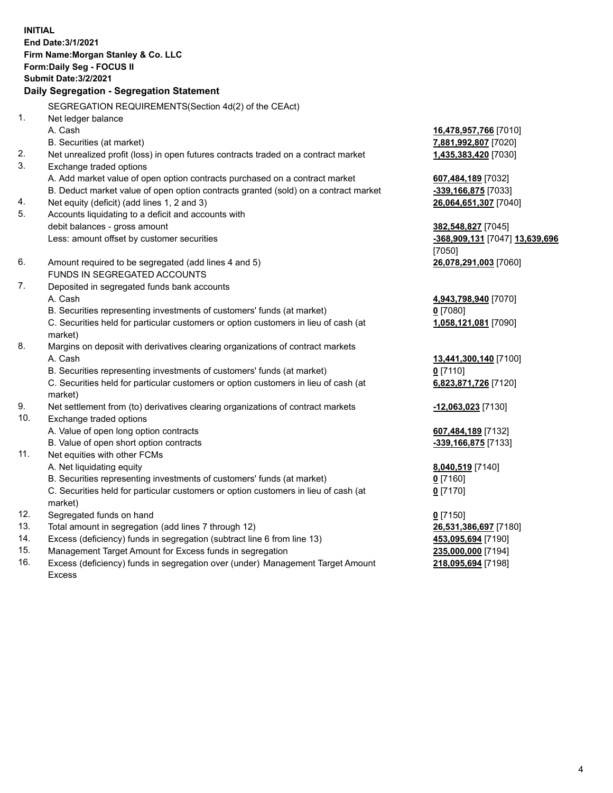**INITIAL End Date:3/1/2021 Firm Name:Morgan Stanley & Co. LLC Form:Daily Seg - FOCUS II Submit Date:3/2/2021 Daily Segregation - Segregation Statement** SEGREGATION REQUIREMENTS(Section 4d(2) of the CEAct) 1. Net ledger balance A. Cash **16,478,957,766** [7010] B. Securities (at market) **7,881,992,807** [7020] 2. Net unrealized profit (loss) in open futures contracts traded on a contract market **1,435,383,420** [7030] 3. Exchange traded options A. Add market value of open option contracts purchased on a contract market **607,484,189** [7032] B. Deduct market value of open option contracts granted (sold) on a contract market **-339,166,875** [7033] 4. Net equity (deficit) (add lines 1, 2 and 3) **26,064,651,307** [7040] 5. Accounts liquidating to a deficit and accounts with debit balances - gross amount **382,548,827** [7045] Less: amount offset by customer securities **-368,909,131** [7047] **13,639,696** [7050] 6. Amount required to be segregated (add lines 4 and 5) **26,078,291,003** [7060] FUNDS IN SEGREGATED ACCOUNTS 7. Deposited in segregated funds bank accounts A. Cash **4,943,798,940** [7070] B. Securities representing investments of customers' funds (at market) **0** [7080] C. Securities held for particular customers or option customers in lieu of cash (at market) **1,058,121,081** [7090] 8. Margins on deposit with derivatives clearing organizations of contract markets A. Cash **13,441,300,140** [7100] B. Securities representing investments of customers' funds (at market) **0** [7110] C. Securities held for particular customers or option customers in lieu of cash (at market) **6,823,871,726** [7120] 9. Net settlement from (to) derivatives clearing organizations of contract markets **-12,063,023** [7130] 10. Exchange traded options A. Value of open long option contracts **607,484,189** [7132] B. Value of open short option contracts **and the set of our original contracts -339,166,875** [7133] 11. Net equities with other FCMs A. Net liquidating equity **8,040,519** [7140] B. Securities representing investments of customers' funds (at market) **0** [7160] C. Securities held for particular customers or option customers in lieu of cash (at market) **0** [7170] 12. Segregated funds on hand **0** [7150] 13. Total amount in segregation (add lines 7 through 12) **26,531,386,697** [7180] 14. Excess (deficiency) funds in segregation (subtract line 6 from line 13) **453,095,694** [7190] 15. Management Target Amount for Excess funds in segregation **235,000,000** [7194]

16. Excess (deficiency) funds in segregation over (under) Management Target Amount Excess

**218,095,694** [7198]